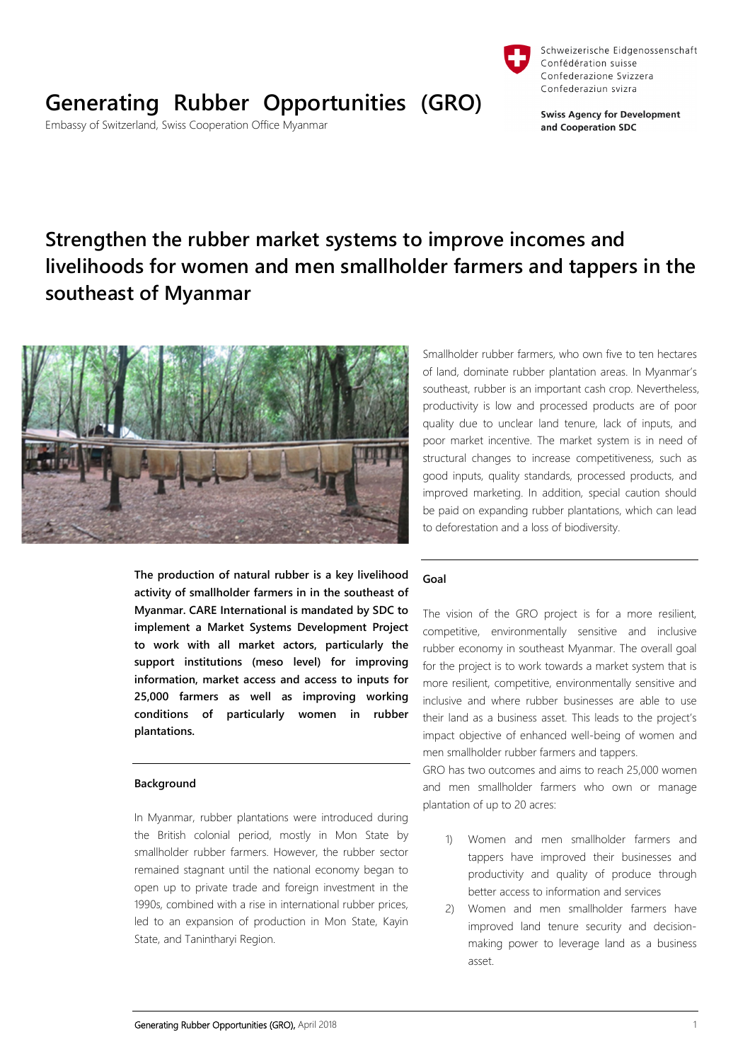

# **Generating Rubber Opportunities (GRO)**

Embassy of Switzerland, Swiss Cooperation Office Myanmar



Schweizerische Eidgenossenschaft

**Swiss Agency for Development** and Cooperation SDC

Confédération suisse Confederazione Svizzera

## **Strengthen the rubber market systems to improve incomes and livelihoods for women and men smallholder farmers and tappers in the southeast of Myanmar**



**The production of natural rubber is a key livelihood activity of smallholder farmers in in the southeast of Myanmar. CARE International is mandated by SDC to implement a Market Systems Development Project to work with all market actors, particularly the support institutions (meso level) for improving information, market access and access to inputs for 25,000 farmers as well as improving working conditions of particularly women in rubber plantations.** 

#### **Background**

In Myanmar, rubber plantations were introduced during the British colonial period, mostly in Mon State by smallholder rubber farmers. However, the rubber sector remained stagnant until the national economy began to open up to private trade and foreign investment in the 1990s, combined with a rise in international rubber prices, led to an expansion of production in Mon State, Kayin State, and Tanintharyi Region.

Smallholder rubber farmers, who own five to ten hectares of land, dominate rubber plantation areas. In Myanmar's southeast, rubber is an important cash crop. Nevertheless, productivity is low and processed products are of poor quality due to unclear land tenure, lack of inputs, and poor market incentive. The market system is in need of structural changes to increase competitiveness, such as good inputs, quality standards, processed products, and improved marketing. In addition, special caution should be paid on expanding rubber plantations, which can lead to deforestation and a loss of biodiversity.

#### **Goal**

The vision of the GRO project is for a more resilient, competitive, environmentally sensitive and inclusive rubber economy in southeast Myanmar. The overall goal for the project is to work towards a market system that is more resilient, competitive, environmentally sensitive and inclusive and where rubber businesses are able to use their land as a business asset. This leads to the project's impact objective of enhanced well-being of women and men smallholder rubber farmers and tappers.

GRO has two outcomes and aims to reach 25,000 women and men smallholder farmers who own or manage plantation of up to 20 acres:

- 1) Women and men smallholder farmers and tappers have improved their businesses and productivity and quality of produce through better access to information and services
- 2) Women and men smallholder farmers have improved land tenure security and decisionmaking power to leverage land as a business asset.